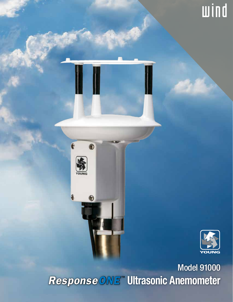

wind

**Model 91000** Response ONE" Ultrasonic Anemometer

 $\overline{\mathbf{e}}$ 

O)

G